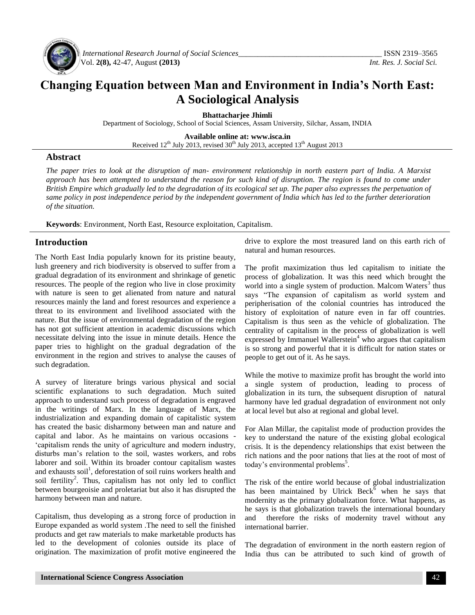

*International Research Journal of Social Sciences\_\_\_\_\_\_\_\_\_\_\_\_\_\_\_\_\_\_\_\_\_\_\_\_\_\_\_\_\_\_\_\_\_\_\_\_\_* ISSN 2319–3565 Vol. **2(8),** 42-47, August **(2013)** *Int. Res. J. Social Sci.*

# **Changing Equation between Man and Environment in India's North East: A Sociological Analysis**

**Bhattacharjee Jhimli**

Department of Sociology, School of Social Sciences, Assam University, Silchar, Assam, INDIA

**Available online at: [www.isca.in](http://www.isca.in/)**

Received  $12^{th}$  July 2013, revised  $30^{th}$  July 2013, accepted  $13^{th}$  August 2013

#### **Abstract**

*The paper tries to look at the disruption of man- environment relationship in north eastern part of India. A Marxist approach has been attempted to understand the reason for such kind of disruption. The region is found to come under British Empire which gradually led to the degradation of its ecological set up. The paper also expresses the perpetuation of same policy in post independence period by the independent government of India which has led to the further deterioration of the situation.* 

**Keywords**: Environment, North East, Resource exploitation, Capitalism.

## **Introduction**

The North East India popularly known for its pristine beauty, lush greenery and rich biodiversity is observed to suffer from a gradual degradation of its environment and shrinkage of genetic resources. The people of the region who live in close proximity with nature is seen to get alienated from nature and natural resources mainly the land and forest resources and experience a threat to its environment and livelihood associated with the nature. But the issue of environmental degradation of the region has not got sufficient attention in academic discussions which necessitate delving into the issue in minute details. Hence the paper tries to highlight on the gradual degradation of the environment in the region and strives to analyse the causes of such degradation.

A survey of literature brings various physical and social scientific explanations to such degradation. Much suited approach to understand such process of degradation is engraved in the writings of Marx. In the language of Marx, the industrialization and expanding domain of capitalistic system has created the basic disharmony between man and nature and capital and labor. As he maintains on various occasions - 'capitalism rends the unity of agriculture and modern industry, disturbs man's relation to the soil, wastes workers, and robs laborer and soil. Within its broader contour capitalism wastes and exhausts soil<sup>1</sup>, deforestation of soil ruins workers health and soil fertility<sup>2</sup>. Thus, capitalism has not only led to conflict between bourgeoisie and proletariat but also it has disrupted the harmony between man and nature.

Capitalism, thus developing as a strong force of production in Europe expanded as world system .The need to sell the finished products and get raw materials to make marketable products has led to the development of colonies outside its place of origination. The maximization of profit motive engineered the

drive to explore the most treasured land on this earth rich of natural and human resources.

The profit maximization thus led capitalism to initiate the process of globalization. It was this need which brought the world into a single system of production. Malcom Waters<sup>3</sup> thus says "The expansion of capitalism as world system and peripherisation of the colonial countries has introduced the history of exploitation of nature even in far off countries. Capitalism is thus seen as the vehicle of globalization. The centrality of capitalism in the process of globalization is well expressed by Immanuel Wallerstein<sup>4</sup> who argues that capitalism is so strong and powerful that it is difficult for nation states or people to get out of it. As he says.

While the motive to maximize profit has brought the world into a single system of production, leading to process of globalization in its turn, the subsequent disruption of natural harmony have led gradual degradation of environment not only at local level but also at regional and global level.

For Alan Millar, the capitalist mode of production provides the key to understand the nature of the existing global ecological crisis. It is the dependency relationships that exist between the rich nations and the poor nations that lies at the root of most of today's environmental problems<sup>5</sup>.

The risk of the entire world because of global industrialization has been maintained by Ulrick Beck<sup>6</sup> when he says that modernity as the primary globalization force. What happens, as he says is that globalization travels the international boundary and therefore the risks of modernity travel without any international barrier.

The degradation of environment in the north eastern region of India thus can be attributed to such kind of growth of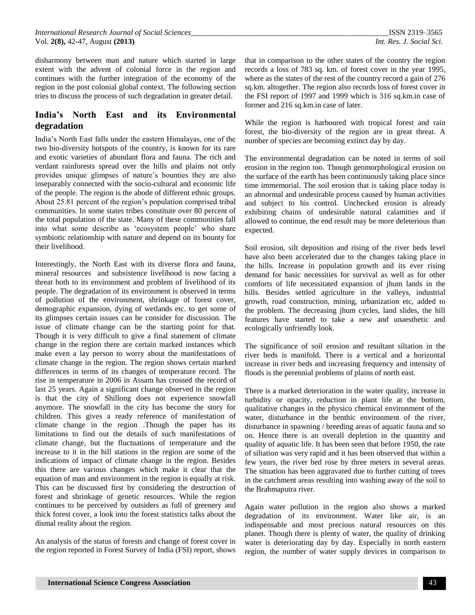disharmony between man and nature which started in large extent with the advent of colonial force in the region and continues with the further integration of the economy of the region in the post colonial global context. The following section tries to discuss the process of such degradation in greater detail.

# **India's North East and its Environmental degradation**

India's North East falls under the eastern Himalayas, one of the two bio-diversity hotspots of the country, is known for its rare and exotic varieties of abundant flora and fauna. The rich and verdant rainforests spread over the hills and plains not only provides unique glimpses of nature's bounties they are also inseparably connected with the socio-cultural and economic life of the people. The region is the abode of different ethnic groups. About 25.81 percent of the region's population comprised tribal communities. In some states tribes constitute over 80 percent of the total population of the state. Many of these communities fall into what some describe as 'ecosystem people' who share symbiotic relationship with nature and depend on its bounty for their livelihood.

Interestingly, the North East with its diverse flora and fauna, mineral resources and subsistence livelihood is now facing a threat both to its environment and problem of livelihood of its people. The degradation of its environment is observed in terms of pollution of the environment, shrinkage of forest cover, demographic expansion, dying of wetlands etc. to get some of its glimpses certain issues can be consider for discussion. The issue of climate change can be the starting point for that. Though it is very difficult to give a final statement of climate change in the region there are certain marked instances which make even a lay person to worry about the manifestations of climate change in the region. The region shows certain marked differences in terms of its changes of temperature record. The rise in temperature in 2006 in Assam has crossed the record of last 25 years. Again a significant change observed in the region is that the city of Shillong does not experience snowfall anymore. The snowfall in the city has become the story for children. This gives a ready reference of manifestation of climate change in the region .Though the paper has its limitations to find out the details of such manifestations of climate change, but the fluctuations of temperature and the increase to it in the hill stations in the region are some of the indications of impact of climate change in the region. Besides this there are various changes which make it clear that the equation of man and environment in the region is equally at risk. This can be discussed first by considering the destruction of forest and shrinkage of genetic resources. While the region continues to be perceived by outsiders as full of greenery and thick forest cover, a look into the forest statistics talks about the dismal reality about the region.

An analysis of the status of forests and change of forest cover in the region reported in Forest Survey of India (FSI) report, shows

that in comparison to the other states of the country the region records a loss of 783 sq. km. of forest cover in the year 1995, where as the states of the rest of the country record a gain of 276 sq.km. altogether. The region also records loss of forest cover in the FSI report of 1997 and 1999 which is 316 sq.km.in case of former and 216 sq.km.in case of later.

While the region is harboured with tropical forest and rain forest, the bio-diversity of the region are in great threat. A number of species are becoming extinct day by day.

The environmental degradation can be noted in terms of soil erosion in the region too. Though geomorphological erosion on the surface of the earth has been continuously taking place since time immemorial. The soil erosion that is taking place today is an abnormal and undesirable process caused by human activities and subject to his control. Unchecked erosion is already exhibiting chains of undesirable natural calamities and if allowed to continue, the end result may be more deleterious than expected.

Soil erosion, silt deposition and rising of the river beds level have also been accelerated due to the changes taking place in the hills. Increase in population growth and its ever rising demand for basic necessities for survival as well as for other comforts of life necessitated expansion of jhum lands in the hills. Besides settled agriculture in the valleys, industrial growth, road construction, mining, urbanization etc, added to the problem. The decreasing jhum cycles, land slides, the hill features have started to take a new and unaesthetic and ecologically unfriendly look.

The significance of soil erosion and resultant siltation in the river beds is manifold. There is a vertical and a horizontal increase in river beds and increasing frequency and intensity of floods is the perennial problems of plains of north east.

There is a marked deterioration in the water quality, increase in turbidity or opacity, reduction in plant life at the bottom, qualitative changes in the physico chemical environment of the water, disturbance in the benthic environment of the river, disturbance in spawning / breeding areas of aquatic fauna and so on. Hence there is an overall depletion in the quantity and quality of aquatic life. It has been seen that before 1950, the rate of siltation was very rapid and it has been observed that within a few years, the river bed rose by three meters in several areas. The situation has been aggravated due to further cutting of trees in the catchment areas resulting into washing away of the soil to the Brahmaputra river.

Again water pollution in the region also shows a marked degradation of its environment. Water like air, is an indispensable and most precious natural resources on this planet. Though there is plenty of water, the quality of drinking water is deteriorating day by day. Especially in north eastern region, the number of water supply devices in comparison to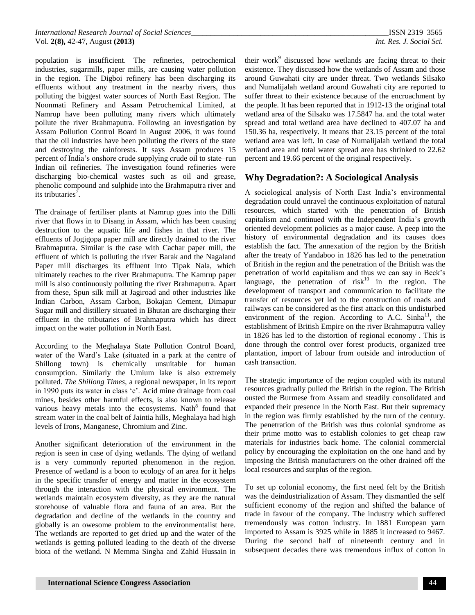population is insufficient. The refineries, petrochemical industries, sugarmills, paper mills, are causing water pollution in the region. The Digboi refinery has been discharging its effluents without any treatment in the nearby rivers, thus polluting the biggest water sources of North East Region. The Noonmati Refinery and Assam Petrochemical Limited, at Namrup have been polluting many rivers which ultimately pollute the river Brahmaputra. Following an investigation by Assam Pollution Control Board in August 2006, it was found that the oil industries have been polluting the rivers of the state and destroying the rainforests. It says Assam produces 15 percent of India's onshore crude supplying crude oil to state–run Indian oil refineries. The investigation found refineries were discharging bio-chemical wastes such as oil and grease, phenolic compound and sulphide into the Brahmaputra river and its tributaries<sup>7</sup>.

The drainage of fertiliser plants at Namrup goes into the Dilli river that flows in to Disang in Assam, which has been causing destruction to the aquatic life and fishes in that river. The effluents of Jogigopa paper mill are directly drained to the river Brahmaputra. Similar is the case with Cachar paper mill, the effluent of which is polluting the river Barak and the Nagaland Paper mill discharges its effluent into Tipak Nala, which ultimately reaches to the river Brahmaputra. The Kamrup paper mill is also continuously polluting the river Brahmaputra. Apart from these, Spun silk mill at Jagiroad and other industries like Indian Carbon, Assam Carbon, Bokajan Cement, Dimapur Sugar mill and distillery situated in Bhutan are discharging their effluent in the tributaries of Brahmaputra which has direct impact on the water pollution in North East.

According to the Meghalaya State Pollution Control Board, water of the Ward's Lake (situated in a park at the centre of Shillong town) is chemically unsuitable for human consumption. Similarly the Umium lake is also extremely polluted. *The Shillong Times,* a regional newspaper, in its report in 1990 puts its water in class 'c'. Acid mine drainage from coal mines, besides other harmful effects, is also known to release various heavy metals into the ecosystems. Nath $8$  found that stream water in the coal belt of Jaintia hills, Meghalaya had high levels of Irons, Manganese, Chromium and Zinc.

Another significant deterioration of the environment in the region is seen in case of dying wetlands. The dying of wetland is a very commonly reported phenomenon in the region. Presence of wetland is a boon to ecology of an area for it helps in the specific transfer of energy and matter in the ecosystem through the interaction with the physical environment. The wetlands maintain ecosystem diversity, as they are the natural storehouse of valuable flora and fauna of an area. But the degradation and decline of the wetlands in the country and globally is an owesome problem to the environmentalist here. The wetlands are reported to get dried up and the water of the wetlands is getting polluted leading to the death of the diverse biota of the wetland. N Memma Singha and Zahid Hussain in

their work<sup>9</sup> discussed how wetlands are facing threat to their existence. They discussed how the wetlands of Assam and those around Guwahati city are under threat. Two wetlands Silsako and Numalijalah wetland around Guwahati city are reported to suffer threat to their existence because of the encroachment by the people. It has been reported that in 1912-13 the original total wetland area of the Silsako was 17.5847 ha. and the total water spread and total wetland area have declined to 407.07 ha and 150.36 ha, respectively. It means that 23.15 percent of the total wetland area was left. In case of Numalijalah wetland the total wetland area and total water spread area has shrinked to 22.62 percent and 19.66 percent of the original respectively.

## **Why Degradation?: A Sociological Analysis**

A sociological analysis of North East India's environmental degradation could unravel the continuous exploitation of natural resources, which started with the penetration of British capitalism and continued with the Independent India's growth oriented development policies as a major cause. A peep into the history of environmental degradation and its causes does establish the fact. The annexation of the region by the British after the treaty of Yandaboo in 1826 has led to the penetration of British in the region and the penetration of the British was the penetration of world capitalism and thus we can say in Beck's language, the penetration of  $risk<sup>10</sup>$  in the region. The development of transport and communication to facilitate the transfer of resources yet led to the construction of roads and railways can be considered as the first attack on this undisturbed environment of the region. According to A.C. Sinha<sup>11</sup>, the establishment of British Empire on the river Brahmaputra valley in 1826 has led to the distortion of regional economy . This is done through the control over forest products, organized tree plantation, import of labour from outside and introduction of cash transaction.

The strategic importance of the region coupled with its natural resources gradually pulled the British in the region. The British ousted the Burmese from Assam and steadily consolidated and expanded their presence in the North East. But their supremacy in the region was firmly established by the turn of the century. The penetration of the British was thus colonial syndrome as their prime motto was to establish colonies to get cheap raw materials for industries back home. The colonial commercial policy by encouraging the exploitation on the one hand and by imposing the British manufacturers on the other drained off the local resources and surplus of the region.

To set up colonial economy, the first need felt by the British was the deindustrialization of Assam. They dismantled the self sufficient economy of the region and shifted the balance of trade in favour of the company. The industry which suffered tremendously was cotton industry. In 1881 European yarn imported to Assam is 3925 while in 1885 it increased to 9467. During the second half of nineteenth century and in subsequent decades there was tremendous influx of cotton in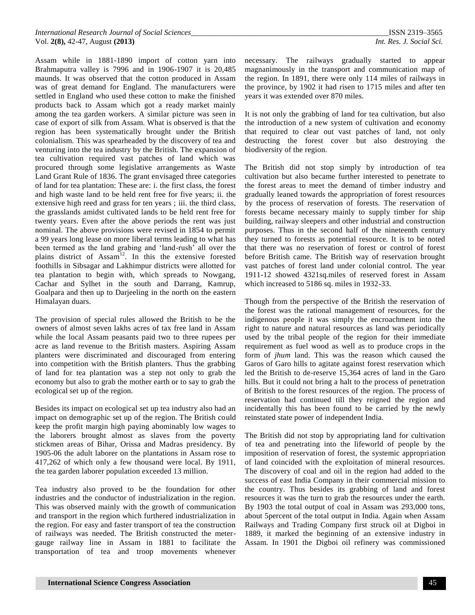Assam while in 1881-1890 import of cotton yarn into Brahmaputra valley is 7996 and in 1906-1907 it is 20,485 maunds. It was observed that the cotton produced in Assam was of great demand for England. The manufacturers were settled in England who used these cotton to make the finished products back to Assam which got a ready market mainly among the tea garden workers. A similar picture was seen in case of export of silk from Assam. What is observed is that the region has been systematically brought under the British colonialism. This was spearheaded by the discovery of tea and venturing into the tea industry by the British. The expansion of tea cultivation required vast patches of land which was procured through some legislative arrangements as Waste Land Grant Rule of 1836. The grant envisaged three categories of land for tea plantation: These are: i. the first class, the forest and high waste land to be held rent free for five years; ii. the extensive high reed and grass for ten years ; iii. the third class, the grasslands amidst cultivated lands to be held rent free for twenty years. Even after the above periods the rent was just nominal. The above provisions were revised in 1854 to permit a 99 years long lease on more liberal terms leading to what has been termed as the land grabing and 'land-rush' all over the plains district of  $Assam<sup>12</sup>$ . In this the extensive forested foothills in Sibsagar and Lakhimpur districts were allotted for tea plantation to begin with, which spreads to Nowgang, Cachar and Sylhet in the south and Darrang, Kamrup, Goalpara and then up to Darjeeling in the north on the eastern Himalayan duars.

The provision of special rules allowed the British to be the owners of almost seven lakhs acres of tax free land in Assam while the local Assam peasants paid two to three rupees per acre as land revenue to the British masters. Aspiring Assam planters were discriminated and discouraged from entering into competition with the British planters. Thus the grabbing of land for tea plantation was a step not only to grab the economy but also to grab the mother earth or to say to grab the ecological set up of the region.

Besides its impact on ecological set up tea industry also had an impact on demographic set up of the region. The British could keep the profit margin high paying abominably low wages to the laborers brought almost as slaves from the poverty stickmen areas of Bihar, Orissa and Madras presidency. By 1905-06 the adult laborer on the plantations in Assam rose to 417,262 of which only a few thousand were local. By 1911, the tea garden laborer population exceeded 13 million.

Tea industry also proved to be the foundation for other industries and the conductor of industrialization in the region. This was observed mainly with the growth of communication and transport in the region which furthered industrialization in the region. For easy and faster transport of tea the construction of railways was needed. The British constructed the metergauge railway line in Assam in 1881 to facilitate the transportation of tea and troop movements whenever

necessary. The railways gradually started to appear magnanimously in the transport and communication map of the region. In 1891, there were only 114 miles of railways in the province, by 1902 it had risen to 1715 miles and after ten years it was extended over 870 miles.

It is not only the grabbing of land for tea cultivation, but also the introduction of a new system of cultivation and economy that required to clear out vast patches of land, not only destructing the forest cover but also destroying the biodiversity of the region.

The British did not stop simply by introduction of tea cultivation but also became further interested to penetrate to the forest areas to meet the demand of timber industry and gradually leaned towards the appropriation of forest resources by the process of reservation of forests. The reservation of forests became necessary mainly to supply timber for ship building, railway sleepers and other industrial and construction purposes. Thus in the second half of the nineteenth century they turned to forests as potential resource. It is to be noted that there was no reservation of forest or control of forest before British came. The British way of reservation brought vast patches of forest land under colonial control. The year 1911-12 showed 4321sq.miles of reserved forest in Assam which increased to 5186 sq. miles in 1932-33.

Though from the perspective of the British the reservation of the forest was the rational management of resources, for the indigenous people it was simply the encroachment into the right to nature and natural resources as land was periodically used by the tribal people of the region for their immediate requirement as fuel wood as well as to produce crops in the form of *jhum* land. This was the reason which caused the Garos of Garo hills to agitate against forest reservation which led the British to de-reserve 15,364 acres of land in the Garo hills. But it could not bring a halt to the process of penetration of British to the forest resources of the region. The process of reservation had continued till they reigned the region and incidentally this has been found to be carried by the newly reinstated state power of independent India.

The British did not stop by appropriating land for cultivation of tea and penetrating into the lifeworld of people by the imposition of reservation of forest, the systemic appropriation of land coincided with the exploitation of mineral resources. The discovery of coal and oil in the region had added to the success of east India Company in their commercial mission to the country. Thus besides its grabbing of land and forest resources it was the turn to grab the resources under the earth. By 1903 the total output of coal in Assam was 293,000 tons, about 5percent of the total output in India. Again when Assam Railways and Trading Company first struck oil at Digboi in 1889, it marked the beginning of an extensive industry in Assam. In 1901 the Digboi oil refinery was commissioned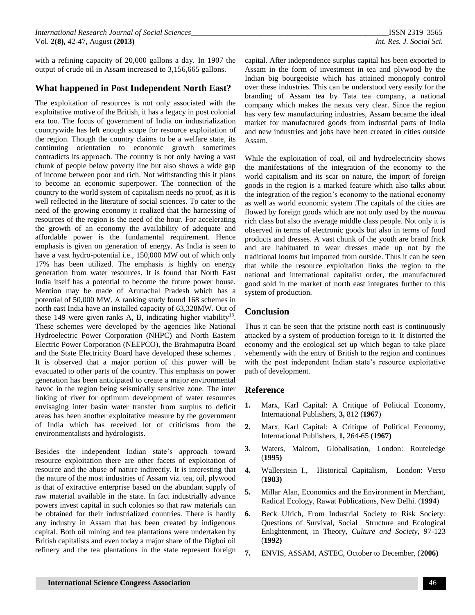with a refining capacity of 20,000 gallons a day. In 1907 the output of crude oil in Assam increased to 3,156,665 gallons.

## **What happened in Post Independent North East?**

The exploitation of resources is not only associated with the exploitative motive of the British, it has a legacy in post colonial era too. The focus of government of India on industrialization countrywide has left enough scope for resource exploitation of the region. Though the country claims to be a welfare state, its continuing orientation to economic growth sometimes contradicts its approach. The country is not only having a vast chunk of people below poverty line but also shows a wide gap of income between poor and rich. Not withstanding this it plans to become an economic superpower. The connection of the country to the world system of capitalism needs no proof, as it is well reflected in the literature of social sciences. To cater to the need of the growing economy it realized that the harnessing of resources of the region is the need of the hour. For accelerating the growth of an economy the availability of adequate and affordable power is the fundamental requirement. Hence emphasis is given on generation of energy. As India is seen to have a vast hydro-potential i.e., 150,000 MW out of which only 17% has been utilized. The emphasis is highly on energy generation from water resources. It is found that North East India itself has a potential to become the future power house. Mention may be made of Arunachal Pradesh which has a potential of 50,000 MW. A ranking study found 168 schemes in north east India have an installed capacity of 63,328MW. Out of these 149 were given ranks A, B, indicating higher viability<sup>13</sup>. These schemes were developed by the agencies like National Hydroelectric Power Corporation (NHPC) and North Eastern Electric Power Corporation (NEEPCO), the Brahmaputra Board and the State Electricity Board have developed these schemes . It is observed that a major portion of this power will be evacuated to other parts of the country. This emphasis on power generation has been anticipated to create a major environmental havoc in the region being seismically sensitive zone. The inter linking of river for optimum development of water resources envisaging inter basin water transfer from surplus to deficit areas has been another exploitative measure by the government of India which has received lot of criticisms from the environmentalists and hydrologists.

Besides the independent Indian state's approach toward resource exploitation there are other facets of exploitation of resource and the abuse of nature indirectly. It is interesting that the nature of the most industries of Assam viz. tea, oil, plywood is that of extractive enterprise based on the abundant supply of raw material available in the state. In fact industrially advance powers invest capital in such colonies so that raw materials can be obtained for their industrialized countries. There is hardly any industry in Assam that has been created by indigenous capital. Both oil mining and tea plantations were undertaken by British capitalists and even today a major share of the Digboi oil refinery and the tea plantations in the state represent foreign

capital. After independence surplus capital has been exported to Assam in the form of investment in tea and plywood by the Indian big bourgeoisie which has attained monopoly control over these industries. This can be understood very easily for the branding of Assam tea by Tata tea company, a national company which makes the nexus very clear. Since the region has very few manufacturing industries, Assam became the ideal market for manufactured goods from industrial parts of India and new industries and jobs have been created in cities outside Assam.

While the exploitation of coal, oil and hydroelectricity shows the manifestations of the integration of the economy to the world capitalism and its scar on nature, the import of foreign goods in the region is a marked feature which also talks about the integration of the region's economy to the national economy as well as world economic system .The capitals of the cities are flowed by foreign goods which are not only used by the *nouvau* rich class but also the average middle class people. Not only it is observed in terms of electronic goods but also in terms of food products and dresses. A vast chunk of the youth are brand frick and are habituated to wear dresses made up not by the traditional looms but imported from outside. Thus it can be seen that while the resource exploitation links the region to the national and international capitalist order, the manufactured good sold in the market of north east integrates further to this system of production.

## **Conclusion**

Thus it can be seen that the pristine north east is continuously attacked by a system of production foreign to it. It distorted the economy and the ecological set up which began to take place vehemently with the entry of British to the region and continues with the post independent Indian state's resource exploitative path of development.

#### **Reference**

- **1.** Marx, Karl Capital: A Critique of Political Economy, International Publishers, **3,** 812 (**1967**)
- **2.** Marx, Karl Capital: A Critique of Political Economy, International Publishers, **1,** 264-65 (**1967)**
- **3.** Waters, Malcom, Globalisation, London: Routeledge (**1995)**
- **4.** Wallerstein I., Historical Capitalism, London: Verso (**1983)**
- **5.** Millar Alan, Economics and the Environment in Merchant, Radical Ecology*,* Rawat Publications, New Delhi. (**1994**)
- **6.** Beck Ulrich, From Industrial Society to Risk Society: Questions of Survival, Social Structure and Ecological Enlightenment, in Theory, *Culture and Society,* 97-123 (**1992)**
- **7.** ENVIS, ASSAM, ASTEC, October to December, (**2006)**